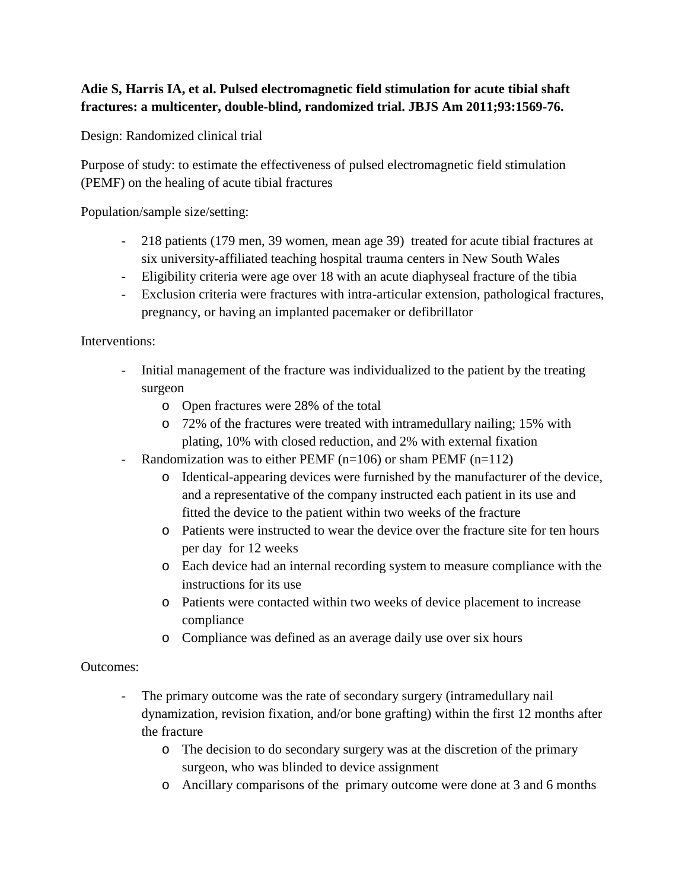## **Adie S, Harris IA, et al. Pulsed electromagnetic field stimulation for acute tibial shaft fractures: a multicenter, double-blind, randomized trial. JBJS Am 2011;93:1569-76.**

Design: Randomized clinical trial

Purpose of study: to estimate the effectiveness of pulsed electromagnetic field stimulation (PEMF) on the healing of acute tibial fractures

Population/sample size/setting:

- 218 patients (179 men, 39 women, mean age 39) treated for acute tibial fractures at six university-affiliated teaching hospital trauma centers in New South Wales
- Eligibility criteria were age over 18 with an acute diaphyseal fracture of the tibia
- Exclusion criteria were fractures with intra-articular extension, pathological fractures, pregnancy, or having an implanted pacemaker or defibrillator

Interventions:

- Initial management of the fracture was individualized to the patient by the treating surgeon
	- o Open fractures were 28% of the total
	- o 72% of the fractures were treated with intramedullary nailing; 15% with plating, 10% with closed reduction, and 2% with external fixation
- Randomization was to either PEMF  $(n=106)$  or sham PEMF  $(n=112)$ 
	- o Identical-appearing devices were furnished by the manufacturer of the device, and a representative of the company instructed each patient in its use and fitted the device to the patient within two weeks of the fracture
	- o Patients were instructed to wear the device over the fracture site for ten hours per day for 12 weeks
	- o Each device had an internal recording system to measure compliance with the instructions for its use
	- o Patients were contacted within two weeks of device placement to increase compliance
	- o Compliance was defined as an average daily use over six hours

## Outcomes:

- The primary outcome was the rate of secondary surgery (intramedullary nail dynamization, revision fixation, and/or bone grafting) within the first 12 months after the fracture
	- o The decision to do secondary surgery was at the discretion of the primary surgeon, who was blinded to device assignment
	- o Ancillary comparisons of the primary outcome were done at 3 and 6 months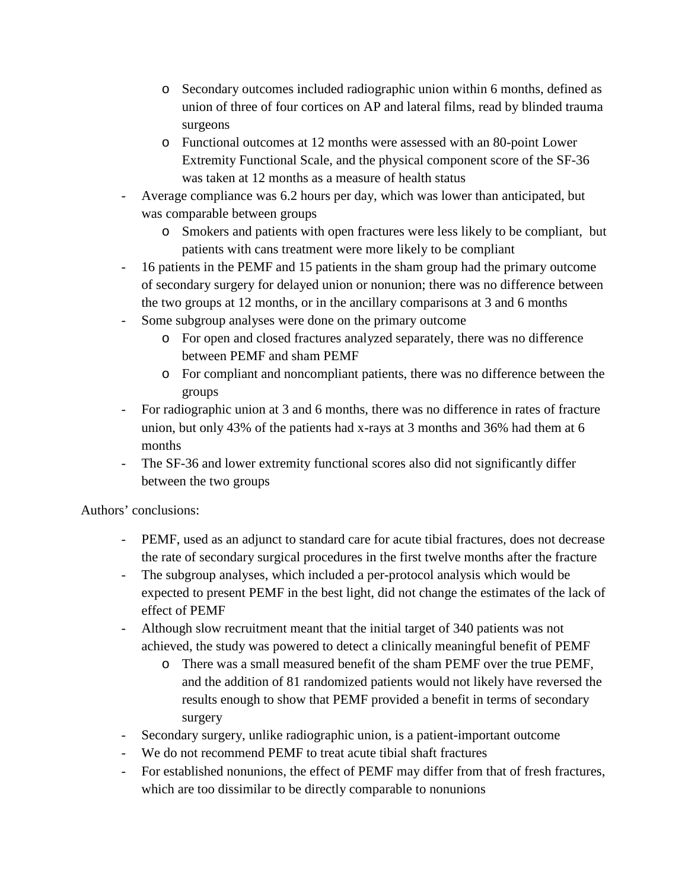- o Secondary outcomes included radiographic union within 6 months, defined as union of three of four cortices on AP and lateral films, read by blinded trauma surgeons
- o Functional outcomes at 12 months were assessed with an 80-point Lower Extremity Functional Scale, and the physical component score of the SF-36 was taken at 12 months as a measure of health status
- Average compliance was 6.2 hours per day, which was lower than anticipated, but was comparable between groups
	- o Smokers and patients with open fractures were less likely to be compliant, but patients with cans treatment were more likely to be compliant
- 16 patients in the PEMF and 15 patients in the sham group had the primary outcome of secondary surgery for delayed union or nonunion; there was no difference between the two groups at 12 months, or in the ancillary comparisons at 3 and 6 months
- Some subgroup analyses were done on the primary outcome
	- o For open and closed fractures analyzed separately, there was no difference between PEMF and sham PEMF
	- o For compliant and noncompliant patients, there was no difference between the groups
- For radiographic union at 3 and 6 months, there was no difference in rates of fracture union, but only 43% of the patients had x-rays at 3 months and 36% had them at 6 months
- The SF-36 and lower extremity functional scores also did not significantly differ between the two groups

Authors' conclusions:

- PEMF, used as an adjunct to standard care for acute tibial fractures, does not decrease the rate of secondary surgical procedures in the first twelve months after the fracture
- The subgroup analyses, which included a per-protocol analysis which would be expected to present PEMF in the best light, did not change the estimates of the lack of effect of PEMF
- Although slow recruitment meant that the initial target of 340 patients was not achieved, the study was powered to detect a clinically meaningful benefit of PEMF
	- o There was a small measured benefit of the sham PEMF over the true PEMF, and the addition of 81 randomized patients would not likely have reversed the results enough to show that PEMF provided a benefit in terms of secondary surgery
- Secondary surgery, unlike radiographic union, is a patient-important outcome
- We do not recommend PEMF to treat acute tibial shaft fractures
- For established nonunions, the effect of PEMF may differ from that of fresh fractures, which are too dissimilar to be directly comparable to nonunions